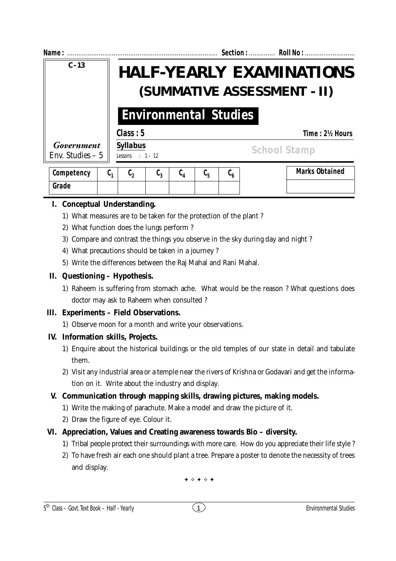| Name:                           | Section:  Roll No :                                                                                                                                                                                     |  |  |  |  |  |  |  |
|---------------------------------|---------------------------------------------------------------------------------------------------------------------------------------------------------------------------------------------------------|--|--|--|--|--|--|--|
| $C - 13$                        | <b>HALF-YEARLY EXAMINATIONS</b><br>(SUMMATIVE ASSESSMENT - II)<br><b>Environmental Studies</b>                                                                                                          |  |  |  |  |  |  |  |
|                                 |                                                                                                                                                                                                         |  |  |  |  |  |  |  |
|                                 | Class: 5<br>Time: 2½ Hours                                                                                                                                                                              |  |  |  |  |  |  |  |
| Government<br>Env. Studies $-5$ | <b>Syllabus</b><br><b>School Stamp</b><br>Lessons : $1 - 12$                                                                                                                                            |  |  |  |  |  |  |  |
| Competency                      | <b>Marks Obtained</b><br>$\mathfrak{c}_{\scriptscriptstyle\kappa}$<br>C,<br>$\mathfrak{c}_\mathfrak{p}$<br>$\mathfrak{c}_2$<br>$\mathfrak{c}_\mathfrak{p}$<br>$\mathfrak{c}_{\scriptscriptstyle\kappa}$ |  |  |  |  |  |  |  |

|       |  |  | $\blacksquare$ |  |  |
|-------|--|--|----------------|--|--|
|       |  |  |                |  |  |
| Grade |  |  |                |  |  |
|       |  |  |                |  |  |
|       |  |  |                |  |  |
|       |  |  |                |  |  |

### **I. Conceptual Understanding.**

- 1) What measures are to be taken for the protection of the plant ?
- 2) What function does the lungs perform ?
- 3) Compare and contrast the things you observe in the sky during day and night ?
- 4) What precautions should be taken in a journey ?
- 5) Write the differences between the Raj Mahal and Rani Mahal.

### **II. Questioning – Hypothesis.**

1) Raheem is suffering from stomach ache. What would be the reason ? What questions does doctor may ask to Raheem when consulted ?

#### **III. Experiments – Field Observations.**

1) Observe moon for a month and write your observations.

# **IV. Information skills, Projects.**

- 1) Enquire about the historical buildings or the old temples of our state in detail and tabulate them.
- 2) Visit any industrial area or a temple near the rivers of Krishna or Godavari and get the information on it. Write about the industry and display.

# **V. Communication through mapping skills, drawing pictures, making models.**

- 1) Write the making of parachute. Make a model and draw the picture of it.
- 2) Draw the figure of eye. Colour it.
- **VI. Appreciation, Values and Creating awareness towards Bio diversity.**
	- 1) Tribal people protect their surroundings with more care. How do you appreciate their life style ?
	- 2) To have fresh air each one should plant a tree. Prepare a poster to denote the necessity of trees and display.

✦ ✧ ✦ ✧ ✦